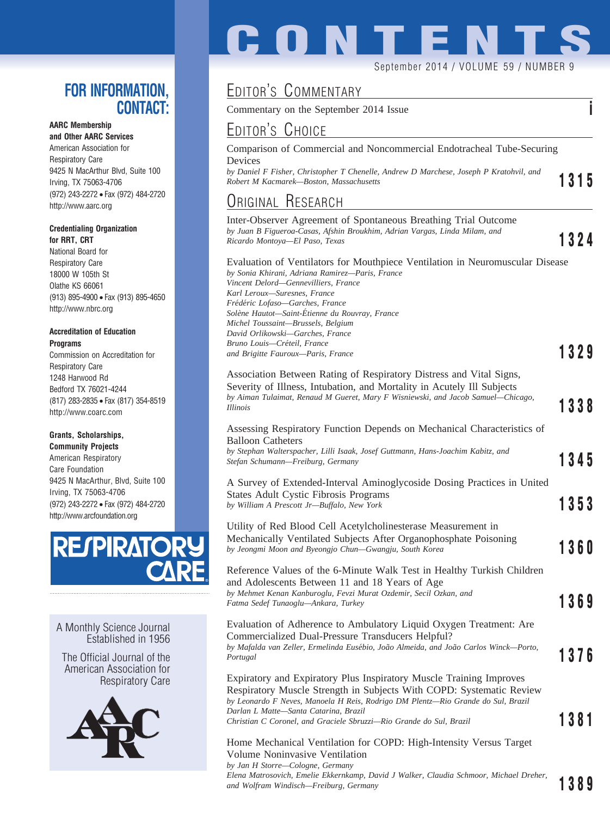### **FOR INFORMATION, CONTACT:**

### **AARC Membership**

**and Other AARC Services** American Association for Respiratory Care 9425 N MacArthur Blvd, Suite 100 Irving, TX 75063-4706 (972) 243-2272 • Fax (972) 484-2720 http://www.aarc.org

#### **Credentialing Organization for RRT, CRT**

National Board for Respiratory Care 18000 W 105th St Olathe KS 66061 (913) 895-4900 • Fax (913) 895-4650 http://www.nbrc.org

#### **Accreditation of Education Programs**

Commission on Accreditation for Respiratory Care 1248 Harwood Rd Bedford TX 76021-4244 (817) 283-2835 • Fax (817) 354-8519 http://www.coarc.com

#### **Grants, Scholarships,**

**Community Projects** American Respiratory Care Foundation 9425 N MacArthur, Blvd, Suite 100 Irving, TX 75063-4706 (972) 243-2272 • Fax (972) 484-2720 http://www.arcfoundation.org



A Monthly Science Journal Established in 1956

The Official Journal of the American Association for Respiratory Care



# **CONTENT** September 2014 / VOLUME 59 / NUMBER 9

## EDITOR'S COMMENTARY

Commentary on the September 2014 Issue **i**

EDITOR'S CHOICE Comparison of Commercial and Noncommercial Endotracheal Tube-Securing Devices *by Daniel F Fisher, Christopher T Chenelle, Andrew D Marchese, Joseph P Kratohvil, and Robert M Kacmarek—Boston, Massachusetts* **1315** ORIGINAL RESEARCH Inter-Observer Agreement of Spontaneous Breathing Trial Outcome *by Juan B Figueroa-Casas, Afshin Broukhim, Adrian Vargas, Linda Milam, and Ricardo Montoya—El Paso, Texas* **1324** Evaluation of Ventilators for Mouthpiece Ventilation in Neuromuscular Disease *by Sonia Khirani, Adriana Ramirez—Paris, France Vincent Delord—Gennevilliers, France Karl Leroux—Suresnes, France Fre´de´ric Lofaso—Garches, France Sole`ne Hautot—Saint-E´tienne du Rouvray, France Michel Toussaint—Brussels, Belgium David Orlikowski—Garches, France Bruno Louis—Cre´teil, France and Brigitte Fauroux—Paris, France* **1329** Association Between Rating of Respiratory Distress and Vital Signs, Severity of Illness, Intubation, and Mortality in Acutely Ill Subjects *by Aiman Tulaimat, Renaud M Gueret, Mary F Wisniewski, and Jacob Samuel—Chicago, Illinois* **1338** Assessing Respiratory Function Depends on Mechanical Characteristics of Balloon Catheters *by Stephan Walterspacher, Lilli Isaak, Josef Guttmann, Hans-Joachim Kabitz, and Stefan Schumann—Freiburg, Germany* **1345** A Survey of Extended-Interval Aminoglycoside Dosing Practices in United States Adult Cystic Fibrosis Programs *by William A Prescott Jr—Buffalo, New York* **1353** Utility of Red Blood Cell Acetylcholinesterase Measurement in Mechanically Ventilated Subjects After Organophosphate Poisoning *by Jeongmi Moon and Byeongjo Chun—Gwangju, South Korea* **1360** Reference Values of the 6-Minute Walk Test in Healthy Turkish Children and Adolescents Between 11 and 18 Years of Age *by Mehmet Kenan Kanburoglu, Fevzi Murat Ozdemir, Secil Ozkan, and Fatma Sedef Tunaoglu—Ankara, Turkey* **1369** Evaluation of Adherence to Ambulatory Liquid Oxygen Treatment: Are Commercialized Dual-Pressure Transducers Helpful? *by Mafalda van Zeller, Ermelinda Euse´bio, Joa˜o Almeida, and Joa˜o Carlos Winck—Porto, Portugal* **1376** Expiratory and Expiratory Plus Inspiratory Muscle Training Improves Respiratory Muscle Strength in Subjects With COPD: Systematic Review *by Leonardo F Neves, Manoela H Reis, Rodrigo DM Plentz—Rio Grande do Sul, Brazil*

*Darlan L Matte—Santa Catarina, Brazil Christian C Coronel, and Graciele Sbruzzi—Rio Grande do Sul, Brazil* **1381**

Home Mechanical Ventilation for COPD: High-Intensity Versus Target Volume Noninvasive Ventilation *by Jan H Storre—Cologne, Germany Elena Matrosovich, Emelie Ekkernkamp, David J Walker, Claudia Schmoor, Michael Dreher,* and Wolfram Windisch—Freiburg, Germany **1389**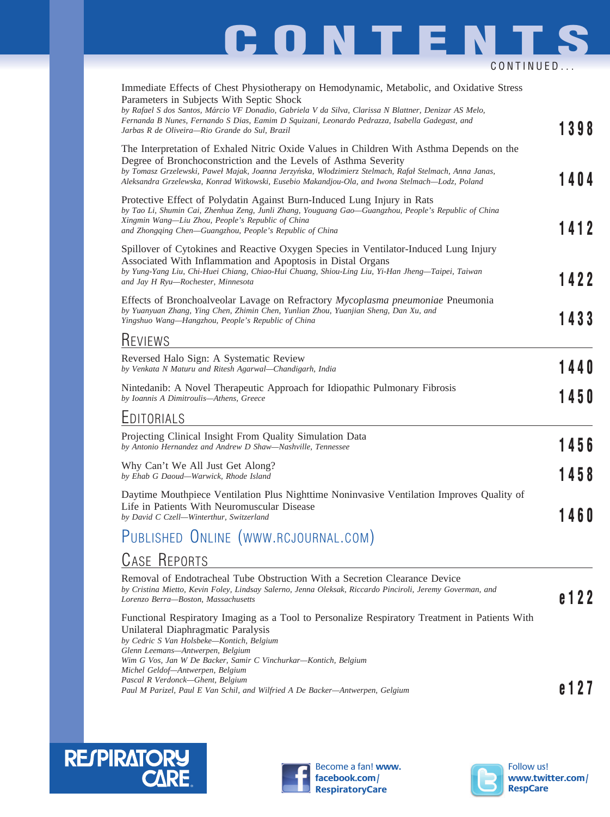# **CONTENTS** CONTINUED...

| Immediate Effects of Chest Physiotherapy on Hemodynamic, Metabolic, and Oxidative Stress<br>Parameters in Subjects With Septic Shock<br>by Rafael S dos Santos, Márcio VF Donadio, Gabriela V da Silva, Clarissa N Blattner, Denizar AS Melo,<br>Fernanda B Nunes, Fernando S Dias, Eamim D Squizani, Leonardo Pedrazza, Isabella Gadegast, and<br>Jarbas R de Oliveira—Rio Grande do Sul, Brazil | 1398    |
|---------------------------------------------------------------------------------------------------------------------------------------------------------------------------------------------------------------------------------------------------------------------------------------------------------------------------------------------------------------------------------------------------|---------|
| The Interpretation of Exhaled Nitric Oxide Values in Children With Asthma Depends on the<br>Degree of Bronchoconstriction and the Levels of Asthma Severity<br>by Tomasz Grzelewski, Paweł Majak, Joanna Jerzyńska, Włodzimierz Stelmach, Rafał Stelmach, Anna Janas,<br>Aleksandra Grzelewska, Konrad Witkowski, Eusebio Makandjou-Ola, and Iwona Stelmach-Lodz, Poland                          | 1404    |
| Protective Effect of Polydatin Against Burn-Induced Lung Injury in Rats<br>by Tao Li, Shumin Cai, Zhenhua Zeng, Junli Zhang, Youguang Gao-Guangzhou, People's Republic of China<br>Xingmin Wang-Liu Zhou, People's Republic of China<br>and Zhongqing Chen—Guangzhou, People's Republic of China                                                                                                  | 1412    |
| Spillover of Cytokines and Reactive Oxygen Species in Ventilator-Induced Lung Injury<br>Associated With Inflammation and Apoptosis in Distal Organs<br>by Yung-Yang Liu, Chi-Huei Chiang, Chiao-Hui Chuang, Shiou-Ling Liu, Yi-Han Jheng-Taipei, Taiwan<br>and Jay H Ryu-Rochester, Minnesota                                                                                                     | 1422    |
| Effects of Bronchoalveolar Lavage on Refractory <i>Mycoplasma pneumoniae</i> Pneumonia<br>by Yuanyuan Zhang, Ying Chen, Zhimin Chen, Yunlian Zhou, Yuanjian Sheng, Dan Xu, and<br>Yingshuo Wang-Hangzhou, People's Republic of China                                                                                                                                                              | 1433    |
| <b>KEVIEWS</b>                                                                                                                                                                                                                                                                                                                                                                                    |         |
| Reversed Halo Sign: A Systematic Review<br>by Venkata N Maturu and Ritesh Agarwal-Chandigarh, India                                                                                                                                                                                                                                                                                               | 1440    |
| Nintedanib: A Novel Therapeutic Approach for Idiopathic Pulmonary Fibrosis<br>by Ioannis A Dimitroulis-Athens, Greece                                                                                                                                                                                                                                                                             | 1450    |
| EDITORIALS                                                                                                                                                                                                                                                                                                                                                                                        |         |
| Projecting Clinical Insight From Quality Simulation Data<br>by Antonio Hernandez and Andrew D Shaw-Nashville, Tennessee                                                                                                                                                                                                                                                                           | 1456    |
| Why Can't We All Just Get Along?<br>by Ehab G Daoud-Warwick, Rhode Island                                                                                                                                                                                                                                                                                                                         | 1458    |
| Daytime Mouthpiece Ventilation Plus Nighttime Noninvasive Ventilation Improves Quality of<br>Life in Patients With Neuromuscular Disease<br>by David C Czell-Winterthur, Switzerland                                                                                                                                                                                                              | 1460    |
| PUBLISHED ONLINE (WWW.RCJOURNAL.COM)                                                                                                                                                                                                                                                                                                                                                              |         |
| <b>CASE REPORTS</b>                                                                                                                                                                                                                                                                                                                                                                               |         |
| Removal of Endotracheal Tube Obstruction With a Secretion Clearance Device<br>by Cristina Mietto, Kevin Foley, Lindsay Salerno, Jenna Oleksak, Riccardo Pinciroli, Jeremy Goverman, and<br>Lorenzo Berra-Boston, Massachusetts                                                                                                                                                                    | e 1 2 2 |
| Functional Respiratory Imaging as a Tool to Personalize Respiratory Treatment in Patients With<br>Unilateral Diaphragmatic Paralysis<br>by Cedric S Van Holsbeke-Kontich, Belgium                                                                                                                                                                                                                 |         |

*Glenn Leemans—Antwerpen, Belgium Wim G Vos, Jan W De Backer, Samir C Vinchurkar—Kontich, Belgium Michel Geldof—Antwerpen, Belgium Pascal R Verdonck—Ghent, Belgium Pascal K veraonck—Gnent, Belgium*<br>Paul M Parizel, Paul E Van Schil, and Wilfried A De Backer—Antwerpen, Gelgium **entry of the Contract of Post Parizel** 





Become a fan! **www. facebook.com/ RespiratoryCare**